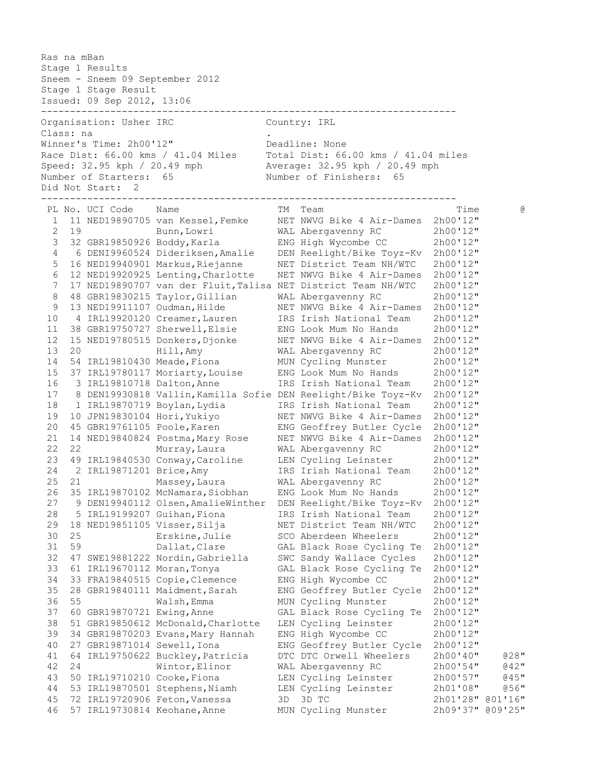Ras na mBan Stage 1 Results Sneem - Sneem 09 September 2012 Stage 1 Stage Result Issued: 09 Sep 2012, 13:06 ------------------------------------------------------------------------ -----------------<br>Organisation: Usher IRC Country: IRL Class: na . Winner's Time: 2h00'12" Deadline: None Race Dist: 66.00 kms / 41.04 Miles Total Dist: 66.00 kms / 41.04 miles Speed: 32.95 kph / 20.49 mph Average: 32.95 kph / 20.49 mph Number of Starters: 65 Number of Finishers: 65 Did Not Start: 2 ------------------------------------------------------------------------ PL No. UCI Code Name the series of the Team of The Time the G 1 11 NED19890705 van Kessel,Femke NET NWVG Bike 4 Air-Dames 2h00'12" 2 19 Bunn,Lowri WAL Abergavenny RC 2h00'12" 3 32 GBR19850926 Boddy,Karla ENG High Wycombe CC 2h00'12" 4 6 DENI9960524 Dideriksen,Amalie DEN Reelight/Bike Toyz-Kv 2h00'12" 5 16 NED19940901 Markus,Riejanne NET District Team NH/WTC 2h00'12" 6 12 NED19920925 Lenting,Charlotte NET NWVG Bike 4 Air-Dames 2h00'12" 7 17 NED19890707 van der Fluit,Talisa NET District Team NH/WTC 2h00'12" 8 48 GBR19830215 Taylor,Gillian WAL Abergavenny RC 2h00'12" 9 13 NED19911107 Oudman, Hilde NET NWVG Bike 4 Air-Dames 2h00'12" 10 4 IRL19920120 Creamer,Lauren IRS Irish National Team 2h00'12" 11 38 GBR19750727 Sherwell,Elsie ENG Look Mum No Hands 2h00'12" 12 15 NED19780515 Donkers,Djonke NET NWVG Bike 4 Air-Dames 2h00'12" 13 20 Hill,Amy WAL Abergavenny RC 2h00'12" 14 54 IRL19810430 Meade,Fiona MUN Cycling Munster 2h00'12" 15 37 IRL19780117 Moriarty,Louise ENG Look Mum No Hands 2h00'12" 16 3 IRL19810718 Dalton,Anne IRS Irish National Team 2h00'12" 17 8 DEN19930818 Vallin,Kamilla Sofie DEN Reelight/Bike Toyz-Kv 2h00'12" 18 1 IRL19870719 Boylan,Lydia IRS Irish National Team 2h00'12" 19 10 JPN19830104 Hori,Yukiyo NET NWVG Bike 4 Air-Dames 2h00'12" 20 45 GBR19761105 Poole,Karen ENG Geoffrey Butler Cycle 2h00'12" 21 14 NED19840824 Postma,Mary Rose NET NWVG Bike 4 Air-Dames 2h00'12" 22 22 Murray,Laura WAL Abergavenny RC 2h00'12" 23 49 IRL19840530 Conway,Caroline LEN Cycling Leinster 2h00'12" 24 2 IRL19871201 Brice,Amy IRS Irish National Team 2h00'12" 25 21 Massey,Laura WAL Abergavenny RC 2h00'12" 26 35 IRL19870102 McNamara,Siobhan ENG Look Mum No Hands 2h00'12" 27 9 DEN19940112 Olsen,AmalieWinther DEN Reelight/Bike Toyz-Kv 2h00'12" 28 5 IRL19199207 Guihan,Fiona IRS Irish National Team 2h00'12" 29 18 NED19851105 Visser,Silja NET District Team NH/WTC 2h00'12" 30 25 Erskine,Julie SCO Aberdeen Wheelers 2h00'12" 31 59 Dallat,Clare GAL Black Rose Cycling Te 2h00'12" 32 47 SWE19881222 Nordin,Gabriella SWC Sandy Wallace Cycles 2h00'12" 33 61 IRL19670112 Moran,Tonya GAL Black Rose Cycling Te 2h00'12" 34 33 FRA19840515 Copie,Clemence ENG High Wycombe CC 2h00'12" 35 28 GBR19840111 Maidment,Sarah ENG Geoffrey Butler Cycle 2h00'12" 36 55 Walsh,Emma MUN Cycling Munster 2h00'12" 37 60 GBR19870721 Ewing,Anne GAL Black Rose Cycling Te 2h00'12" 38 51 GBR19850612 McDonald,Charlotte LEN Cycling Leinster 2h00'12" 39 34 GBR19870203 Evans,Mary Hannah ENG High Wycombe CC 2h00'12" 40 27 GBR19871014 Sewell,Iona ENG Geoffrey Butler Cycle 2h00'12" 41 64 IRL19750622 Buckley,Patricia DTC DTC Orwell Wheelers 2h00'40" @28" 42 24 Wintor,Elinor WAL Abergavenny RC 2h00'54" @42" 43 50 IRL19710210 Cooke,Fiona LEN Cycling Leinster 2h00'57" @45" 44 53 IRL19870501 Stephens,Niamh LEN Cycling Leinster 2h01'08" @56" 45 72 IRL19720906 Feton,Vanessa 3D 3D TC 2h01'28" @01'16" 46 57 IRL19730814 Keohane,Anne MUN Cycling Munster 2h09'37" @09'25"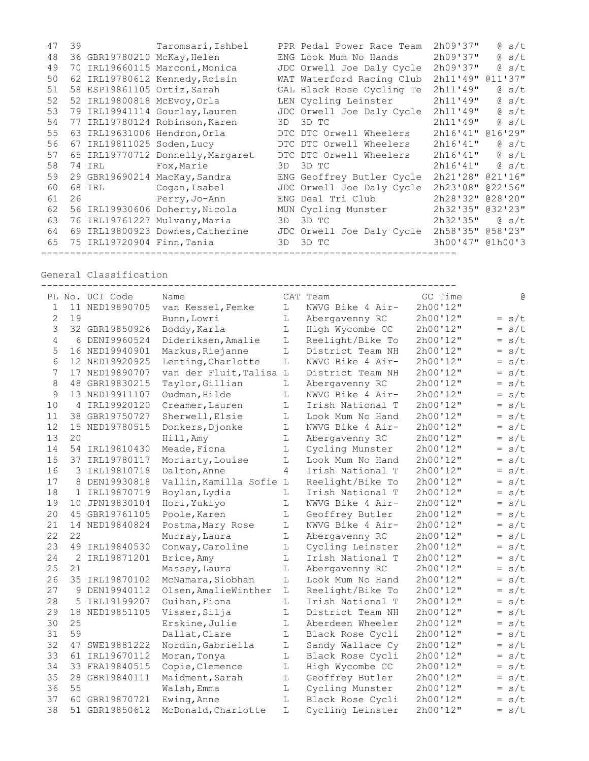| 47 | 39                          | Taromsari, Ishbel                 |     | PPR Pedal Power Race Team | 2h09'37"         | $\theta$ s/t                            |
|----|-----------------------------|-----------------------------------|-----|---------------------------|------------------|-----------------------------------------|
| 48 | 36 GBR19780210 McKay, Helen |                                   |     | ENG Look Mum No Hands     | 2h09'37"         | $\theta$ s/t                            |
| 49 |                             | 70 IRL19660115 Marconi, Monica    |     | JDC Orwell Joe Daly Cycle | 2h09'37"         | $\theta$ s/t                            |
| 50 |                             | 62 IRL19780612 Kennedy, Roisin    |     | WAT Waterford Racing Club | 2h11'49" @11'37" |                                         |
| 51 | 58 ESP19861105 Ortiz, Sarah |                                   |     | GAL Black Rose Cycling Te | 2h11'49''        | $\theta$ s/t                            |
| 52 | 52 IRL19800818 McEvoy, Orla |                                   |     | LEN Cycling Leinster      | 2h11'49''        | $\theta$ s/t                            |
| 53 |                             | 79 IRL19941114 Gourlay, Lauren    |     | JDC Orwell Joe Daly Cycle | 2h11'49"         | $\theta$ s/t                            |
| 54 |                             | 77 IRL19780124 Robinson, Karen    | 3D. | 3D TC                     | 2h11'49''        | $\begin{bmatrix} 0 & s/t \end{bmatrix}$ |
| 55 |                             | 63 IRL19631006 Hendron, Orla      |     | DTC DTC Orwell Wheelers   | 2h16'41''        | 016'29''                                |
| 56 | 67 IRL19811025 Soden, Lucy  |                                   |     | DTC DTC Orwell Wheelers   | 2h16'41''        | $\theta$ s/t                            |
| 57 |                             | 65 IRL19770712 Donnelly, Margaret |     | DTC DTC Orwell Wheelers   | 2h16'41"         | $\theta$ s/t                            |
| 58 | 74 IRL                      | Fox, Marie                        | 3D  | 3D TC                     | 2h16'41"         | $\theta$ s/t                            |
| 59 |                             | 29 GBR19690214 MacKay, Sandra     |     | ENG Geoffrey Butler Cycle | 2h21'28" @21'16" |                                         |
| 60 | 68 IRL                      | Cogan, Isabel                     |     | JDC Orwell Joe Daly Cycle | 2h23'08''        | 022'56''                                |
| 61 | 26                          | Perry, Jo-Ann                     |     | ENG Deal Tri Club         | 2h28'32"         | 028'20''                                |
| 62 |                             | 56 IRL19930606 Doherty, Nicola    |     | MUN Cycling Munster       | 2h32'35" @32'23" |                                         |
| 63 |                             | 76 IRL19761227 Mulvany, Maria     | 3D  | 3D TC                     | 2h32'35"         | $\alpha$ s/t                            |
| 64 |                             | 69 IRL19800923 Downes, Catherine  |     | JDC Orwell Joe Daly Cycle | 2h58'35" @58'23" |                                         |
| 65 | 75 IRL19720904 Finn, Tania  |                                   | 3D. | 3D TC                     | 3h00'47" @1h00'3 |                                         |

General Classification

|                |    | PL No. UCI Code | Name                    |             | CAT Team         | GC Time  | G          |
|----------------|----|-----------------|-------------------------|-------------|------------------|----------|------------|
| 1              |    | 11 NED19890705  | van Kessel, Femke       | L           | NWVG Bike 4 Air- | 2h00'12" |            |
| $\mathbf{2}$   | 19 |                 | Bunn, Lowri             | L           | Abergavenny RC   | 2h00'12" | $= s/t$    |
| 3              |    | 32 GBR19850926  | Boddy, Karla            | L           | High Wycombe CC  | 2h00'12" | $= s/t$    |
| $\overline{4}$ | 6  | DENI9960524     | Dideriksen, Amalie      | L           | Reelight/Bike To | 2h00'12" | $= s/t$    |
| 5              |    | 16 NED19940901  | Markus, Riejanne        | L           | District Team NH | 2h00'12" | $= s/t$    |
| 6              |    | 12 NED19920925  | Lenting, Charlotte      | L           | NWVG Bike 4 Air- | 2h00'12" | $= s/t$    |
| $\overline{7}$ | 17 | NED19890707     | van der Fluit, Talisa L |             | District Team NH | 2h00'12" | $= s/t$    |
| 8              | 48 | GBR19830215     | Taylor, Gillian         | L           | Abergavenny RC   | 2h00'12" | $= s/t$    |
| 9              |    | 13 NED19911107  | Oudman, Hilde           | L           | NWVG Bike 4 Air- | 2h00'12" | $= s/t$    |
| 10             | 4  | IRL19920120     | Creamer, Lauren         | $\mathbb L$ | Irish National T | 2h00'12" | $= s/t$    |
| 11             | 38 | GBR19750727     | Sherwell, Elsie         | L           | Look Mum No Hand | 2h00'12" | $= s/t$    |
| 12             | 15 | NED19780515     | Donkers, Djonke         | L           | NWVG Bike 4 Air- | 2h00'12" | $= s/t$    |
| 13             | 20 |                 | Hill, Amy               | L           | Abergavenny RC   | 2h00'12" | $= s/t$    |
| 14             |    | 54 IRL19810430  | Meade, Fiona            | $\mathbb L$ | Cycling Munster  | 2h00'12" | $= s/t$    |
| 15             | 37 | IRL19780117     | Moriarty, Louise        | L           | Look Mum No Hand | 2h00'12" | $= s/t$    |
| 16             | 3  | IRL19810718     | Dalton, Anne            | 4           | Irish National T | 2h00'12" | s/t<br>$=$ |
| 17             | 8  | DEN19930818     | Vallin, Kamilla Sofie   | L           | Reelight/Bike To | 2h00'12" | $= s/t$    |
| 18             | 1  | IRL19870719     | Boylan, Lydia           | L           | Irish National T | 2h00'12" | $= s/t$    |
| 19             | 10 | JPN19830104     | Hori, Yukiyo            | L           | NWVG Bike 4 Air- | 2h00'12" | s/t<br>$=$ |
| 20             | 45 | GBR19761105     | Poole, Karen            | L           | Geoffrey Butler  | 2h00'12" | s/t<br>$=$ |
| 21             | 14 | NED19840824     | Postma, Mary Rose       | L           | NWVG Bike 4 Air- | 2h00'12" | s/t<br>$=$ |
| 22             | 22 |                 | Murray, Laura           | L           | Abergavenny RC   | 2h00'12" | s/t<br>$=$ |
| 23             | 49 | IRL19840530     | Conway, Caroline        | L           | Cycling Leinster | 2h00'12" | $= s/t$    |
| 24             | 2  | IRL19871201     | Brice, Amy              | L           | Irish National T | 2h00'12" | $= s/t$    |
| 25             | 21 |                 | Massey, Laura           | L           | Abergavenny RC   | 2h00'12" | $= s/t$    |
| 26             |    | 35 IRL19870102  | McNamara, Siobhan       | L           | Look Mum No Hand | 2h00'12" | $= s/t$    |
| 27             | 9  | DEN19940112     | Olsen, AmalieWinther    | L           | Reelight/Bike To | 2h00'12" | $= s/t$    |
| 28             | 5  | IRL19199207     | Guihan, Fiona           | L           | Irish National T | 2h00'12" | $= s/t$    |
| 29             | 18 | NED19851105     | Visser, Silja           | L           | District Team NH | 2h00'12" | $= s/t$    |
| 30             | 25 |                 | Erskine, Julie          | L           | Aberdeen Wheeler | 2h00'12" | $= s/t$    |
| 31             | 59 |                 | Dallat, Clare           | $\mathbb L$ | Black Rose Cycli | 2h00'12" | $= s/t$    |
| 32             | 47 | SWE19881222     | Nordin, Gabriella       | L           | Sandy Wallace Cy | 2h00'12" | s/t<br>$=$ |
| 33             | 61 | IRL19670112     | Moran, Tonya            | L           | Black Rose Cycli | 2h00'12" | s/t<br>$=$ |
| 34             | 33 | FRA19840515     | Copie, Clemence         | L           | High Wycombe CC  | 2h00'12" | s/t<br>$=$ |
| 35             | 28 | GBR19840111     | Maidment, Sarah         | L           | Geoffrey Butler  | 2h00'12" | s/t<br>$=$ |
| 36             | 55 |                 | Walsh, Emma             | L           | Cycling Munster  | 2h00'12" | s/t<br>$=$ |
| 37             | 60 | GBR19870721     | Ewing, Anne             | L           | Black Rose Cycli | 2h00'12" | s/t<br>$=$ |
| 38             | 51 | GBR19850612     | McDonald, Charlotte     | L           | Cycling Leinster | 2h00'12" | $= s/t$    |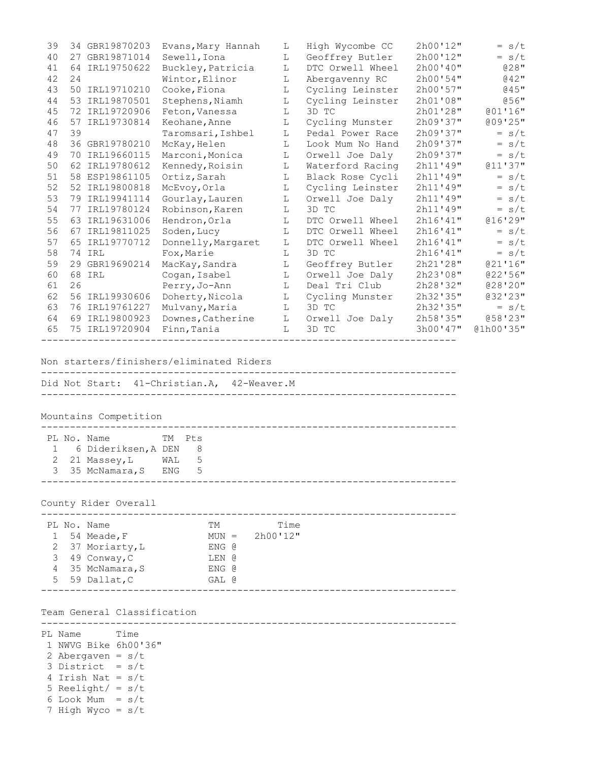| 39 | 34 GBR19870203    | Evans, Mary Hannah | L  | High Wycombe CC  | 2h00'12"  | $= s/t$   |
|----|-------------------|--------------------|----|------------------|-----------|-----------|
| 40 | GBR19871014<br>27 | Sewell, Iona       | L  | Geoffrey Butler  | 2h00'12"  | $= s/t$   |
| 41 | IRL19750622<br>64 | Buckley, Patricia  | L  | DTC Orwell Wheel | 2h00'40'' | $028$ "   |
| 42 | 24                | Wintor, Elinor     | L  | Abergavenny RC   | 2h00'54"  | $042$ "   |
| 43 | IRL19710210<br>50 | Cooke, Fiona       | L  | Cycling Leinster | 2h00'57"  | @45"      |
| 44 | IRL19870501<br>53 | Stephens, Niamh    | L  | Cycling Leinster | 2h01'08"  | $056$ "   |
| 45 | 72 IRL19720906    | Feton, Vanessa     | L  | 3D TC            | 2h01'28"  | 001'16"   |
| 46 | IRL19730814<br>57 | Keohane, Anne      | L  | Cycling Munster  | 2h09'37"  | 009'25"   |
| 47 | 39                | Taromsari, Ishbel  | L  | Pedal Power Race | 2h09'37"  | $= s/t$   |
| 48 | 36 GBR19780210    | McKay, Helen       | L  | Look Mum No Hand | 2h09'37"  | $= s/t$   |
| 49 | IRL19660115<br>70 | Marconi, Monica    | L  | Orwell Joe Daly  | 2h09'37"  | $= s/t$   |
| 50 | IRL19780612<br>62 | Kennedy, Roisin    | L  | Waterford Racing | 2h11'49"  | 011'37''  |
| 51 | 58 ESP19861105    | Ortiz, Sarah       | L  | Black Rose Cycli | 2h11'49"  | $= s/t$   |
| 52 | 52 IRL19800818    | McEvoy, Orla       | L  | Cycling Leinster | 2h11'49"  | $= s/t$   |
| 53 | IRL19941114<br>79 | Gourlay, Lauren    | L  | Orwell Joe Daly  | 2h11'49"  | $= s/t$   |
| 54 | IRL19780124<br>77 | Robinson, Karen    | L  | 3D TC            | 2h11'49"  | $= s/t$   |
| 55 | 63 IRL19631006    | Hendron, Orla      | L  | DTC Orwell Wheel | 2h16'41"  | 016'29''  |
| 56 | IRL19811025<br>67 | Soden, Lucy        | T. | DTC Orwell Wheel | 2h16'41"  | $= s/t$   |
| 57 | IRL19770712<br>65 | Donnelly, Margaret | L  | DTC Orwell Wheel | 2h16'41'' | $= s/t$   |
| 58 | 74 IRL            | Fox, Marie         | L  | 3D TC            | 2h16'41"  | $= s/t$   |
| 59 | GBR19690214<br>29 | MacKay, Sandra     | L  | Geoffrey Butler  | 2h21'28"  | 021'16''  |
| 60 | IRL<br>68         | Cogan, Isabel      | L  | Orwell Joe Daly  | 2h23'08"  | 022'56''  |
| 61 | 26                | Perry, Jo-Ann      | L  | Deal Tri Club    | 2h28'32"  | 028'20''  |
| 62 | IRL19930606<br>56 | Doherty, Nicola    | L  | Cycling Munster  | 2h32'35"  | @32'23"   |
| 63 | IRL19761227<br>76 | Mulvany, Maria     | L  | 3D TC            | 2h32'35"  | $= s/t$   |
| 64 | 69 IRL19800923    | Downes, Catherine  | L  | Orwell Joe Daly  | 2h58'35"  | @58'23"   |
| 65 | 75 IRL19720904    | Finn, Tania        | L  | 3D TC            | 3h00'47"  | @1h00'35" |
|    |                   |                    |    |                  |           |           |

Non starters/finishers/eliminated Riders

------------------------------------------------------------------------ Did Not Start: 41-Christian.A, 42-Weaver.M ------------------------------------------------------------------------

------------------------------------------------------------------------

Mountains Competition

| 1 6 Dideriksen, A DEN 8<br>2 21 Massey, L WAL 5<br>3 35 McNamara, S ENG 5 |  | TM Pt.s<br>PL No. Name |  |
|---------------------------------------------------------------------------|--|------------------------|--|
|                                                                           |  |                        |  |
|                                                                           |  |                        |  |
|                                                                           |  |                        |  |

County Rider Overall

|  | PL No. Name      | TМ      | Time     |  |  |
|--|------------------|---------|----------|--|--|
|  | 1 54 Meade, F    | $MUN =$ | 2h00'12" |  |  |
|  | 2 37 Moriarty, L | ENG @   |          |  |  |
|  | 3 49 Conway, C   | LEN @   |          |  |  |
|  | 4 35 McNamara, S | ENG @   |          |  |  |
|  | 5 59 Dallat, C   | GAL @   |          |  |  |
|  |                  |         |          |  |  |

------------------------------------------------------------------------

## Team General Classification

PL Name Time 1 NWVG Bike 6h00'36" 2 Abergaven =  $s/t$ 3 District =  $s/t$ 4 Irish Nat =  $s/t$ 5 Reelight/ =  $s/t$ 6 Look Mum = s/t 7 High Wyco = s/t